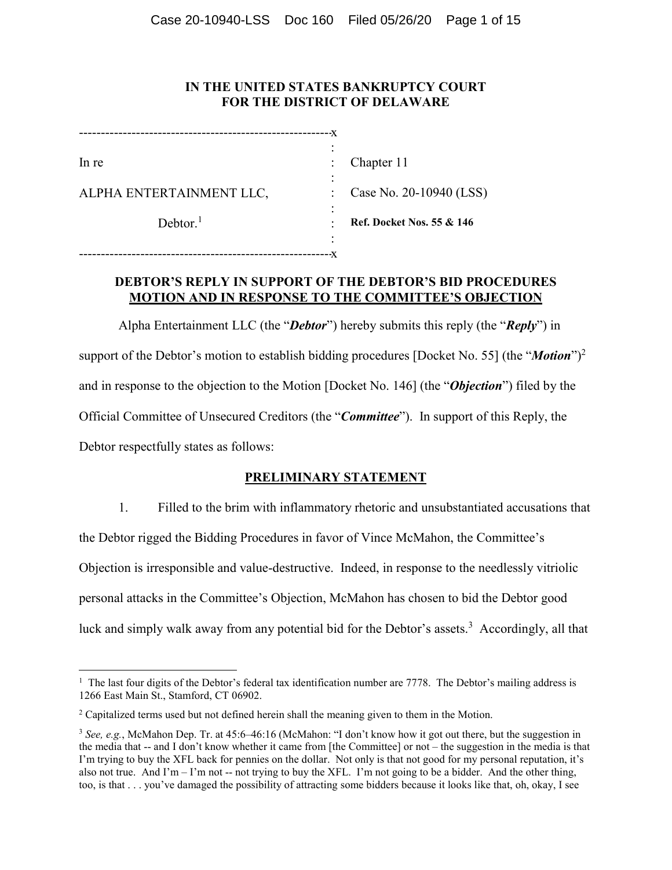# **IN THE UNITED STATES BANKRUPTCY COURT FOR THE DISTRICT OF DELAWARE**

|                          | -X |                                      |
|--------------------------|----|--------------------------------------|
|                          |    |                                      |
| In re                    |    | Chapter 11                           |
|                          |    |                                      |
| ALPHA ENTERTAINMENT LLC, |    | Case No. 20-10940 (LSS)              |
|                          |    |                                      |
| Dektor <sup>1</sup>      |    | <b>Ref. Docket Nos. 55 &amp; 146</b> |
|                          |    |                                      |
|                          |    |                                      |

# **DEBTOR'S REPLY IN SUPPORT OF THE DEBTOR'S BID PROCEDURES MOTION AND IN RESPONSE TO THE COMMITTEE'S OBJECTION**

Alpha Entertainment LLC (the "*Debtor*") hereby submits this reply (the "*Reply*") in support of the Debtor's motion to establish bidding procedures [Docket No. 55] (the "*Motion*")2 and in response to the objection to the Motion [Docket No. 146] (the "*Objection*") filed by the Official Committee of Unsecured Creditors (the "*Committee*"). In support of this Reply, the Debtor respectfully states as follows:

# **PRELIMINARY STATEMENT**

1. Filled to the brim with inflammatory rhetoric and unsubstantiated accusations that the Debtor rigged the Bidding Procedures in favor of Vince McMahon, the Committee's Objection is irresponsible and value-destructive. Indeed, in response to the needlessly vitriolic personal attacks in the Committee's Objection, McMahon has chosen to bid the Debtor good luck and simply walk away from any potential bid for the Debtor's assets.<sup>3</sup> Accordingly, all that

<u>.</u>

<sup>&</sup>lt;sup>1</sup> The last four digits of the Debtor's federal tax identification number are 7778. The Debtor's mailing address is 1266 East Main St., Stamford, CT 06902.

<sup>&</sup>lt;sup>2</sup> Capitalized terms used but not defined herein shall the meaning given to them in the Motion.

<sup>&</sup>lt;sup>3</sup> See, e.g., McMahon Dep. Tr. at 45:6–46:16 (McMahon: "I don't know how it got out there, but the suggestion in the media that -- and I don't know whether it came from [the Committee] or not – the suggestion in the media is that I'm trying to buy the XFL back for pennies on the dollar. Not only is that not good for my personal reputation, it's also not true. And I'm – I'm not -- not trying to buy the XFL. I'm not going to be a bidder. And the other thing, too, is that . . . you've damaged the possibility of attracting some bidders because it looks like that, oh, okay, I see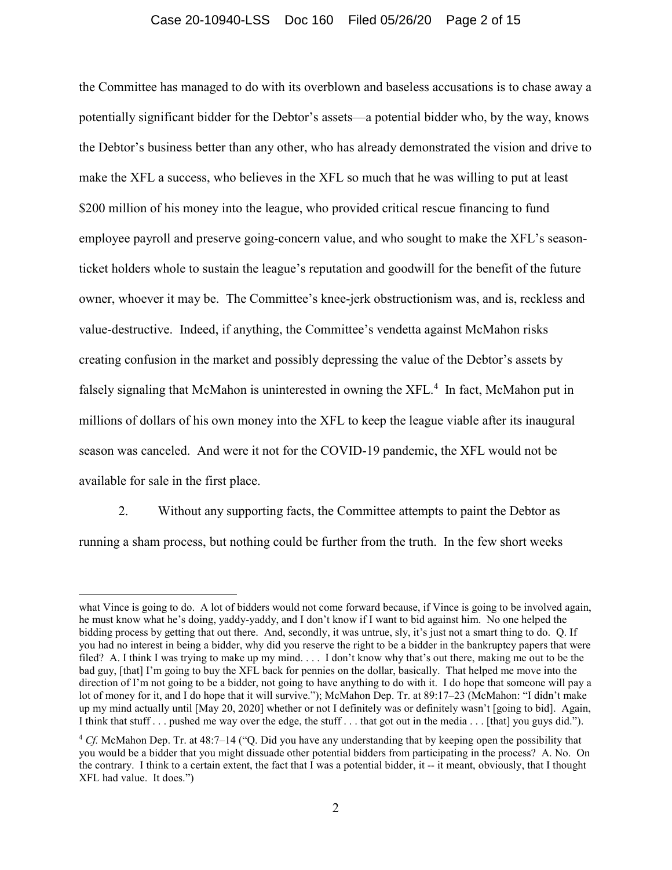#### Case 20-10940-LSS Doc 160 Filed 05/26/20 Page 2 of 15

the Committee has managed to do with its overblown and baseless accusations is to chase away a potentially significant bidder for the Debtor's assets—a potential bidder who, by the way, knows the Debtor's business better than any other, who has already demonstrated the vision and drive to make the XFL a success, who believes in the XFL so much that he was willing to put at least \$200 million of his money into the league, who provided critical rescue financing to fund employee payroll and preserve going-concern value, and who sought to make the XFL's seasonticket holders whole to sustain the league's reputation and goodwill for the benefit of the future owner, whoever it may be. The Committee's knee-jerk obstructionism was, and is, reckless and value-destructive. Indeed, if anything, the Committee's vendetta against McMahon risks creating confusion in the market and possibly depressing the value of the Debtor's assets by falsely signaling that McMahon is uninterested in owning the XFL.<sup>4</sup> In fact, McMahon put in millions of dollars of his own money into the XFL to keep the league viable after its inaugural season was canceled. And were it not for the COVID-19 pandemic, the XFL would not be available for sale in the first place.

2. Without any supporting facts, the Committee attempts to paint the Debtor as running a sham process, but nothing could be further from the truth. In the few short weeks

<u>.</u>

what Vince is going to do. A lot of bidders would not come forward because, if Vince is going to be involved again, he must know what he's doing, yaddy-yaddy, and I don't know if I want to bid against him. No one helped the bidding process by getting that out there. And, secondly, it was untrue, sly, it's just not a smart thing to do. Q. If you had no interest in being a bidder, why did you reserve the right to be a bidder in the bankruptcy papers that were filed? A. I think I was trying to make up my mind. . . . I don't know why that's out there, making me out to be the bad guy, [that] I'm going to buy the XFL back for pennies on the dollar, basically. That helped me move into the direction of I'm not going to be a bidder, not going to have anything to do with it. I do hope that someone will pay a lot of money for it, and I do hope that it will survive."); McMahon Dep. Tr. at 89:17–23 (McMahon: "I didn't make up my mind actually until [May 20, 2020] whether or not I definitely was or definitely wasn't [going to bid]. Again, I think that stuff . . . pushed me way over the edge, the stuff . . . that got out in the media . . . [that] you guys did.").

<sup>4</sup> *Cf.* McMahon Dep. Tr. at 48:7–14 ("Q. Did you have any understanding that by keeping open the possibility that you would be a bidder that you might dissuade other potential bidders from participating in the process? A. No. On the contrary. I think to a certain extent, the fact that I was a potential bidder, it -- it meant, obviously, that I thought XFL had value. It does.")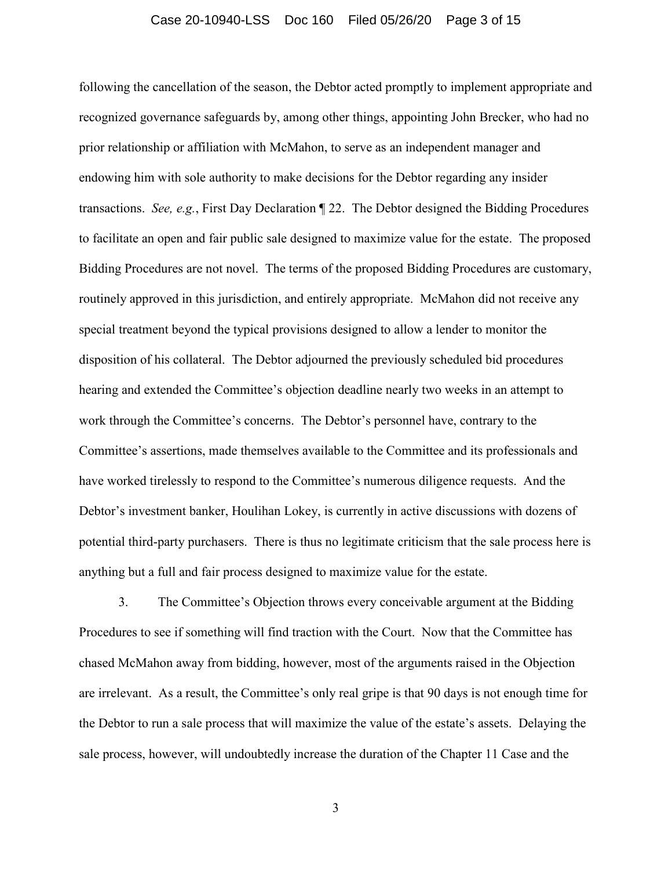## Case 20-10940-LSS Doc 160 Filed 05/26/20 Page 3 of 15

following the cancellation of the season, the Debtor acted promptly to implement appropriate and recognized governance safeguards by, among other things, appointing John Brecker, who had no prior relationship or affiliation with McMahon, to serve as an independent manager and endowing him with sole authority to make decisions for the Debtor regarding any insider transactions. *See, e.g.*, First Day Declaration ¶ 22. The Debtor designed the Bidding Procedures to facilitate an open and fair public sale designed to maximize value for the estate. The proposed Bidding Procedures are not novel. The terms of the proposed Bidding Procedures are customary, routinely approved in this jurisdiction, and entirely appropriate. McMahon did not receive any special treatment beyond the typical provisions designed to allow a lender to monitor the disposition of his collateral. The Debtor adjourned the previously scheduled bid procedures hearing and extended the Committee's objection deadline nearly two weeks in an attempt to work through the Committee's concerns. The Debtor's personnel have, contrary to the Committee's assertions, made themselves available to the Committee and its professionals and have worked tirelessly to respond to the Committee's numerous diligence requests. And the Debtor's investment banker, Houlihan Lokey, is currently in active discussions with dozens of potential third-party purchasers. There is thus no legitimate criticism that the sale process here is anything but a full and fair process designed to maximize value for the estate.

3. The Committee's Objection throws every conceivable argument at the Bidding Procedures to see if something will find traction with the Court. Now that the Committee has chased McMahon away from bidding, however, most of the arguments raised in the Objection are irrelevant. As a result, the Committee's only real gripe is that 90 days is not enough time for the Debtor to run a sale process that will maximize the value of the estate's assets. Delaying the sale process, however, will undoubtedly increase the duration of the Chapter 11 Case and the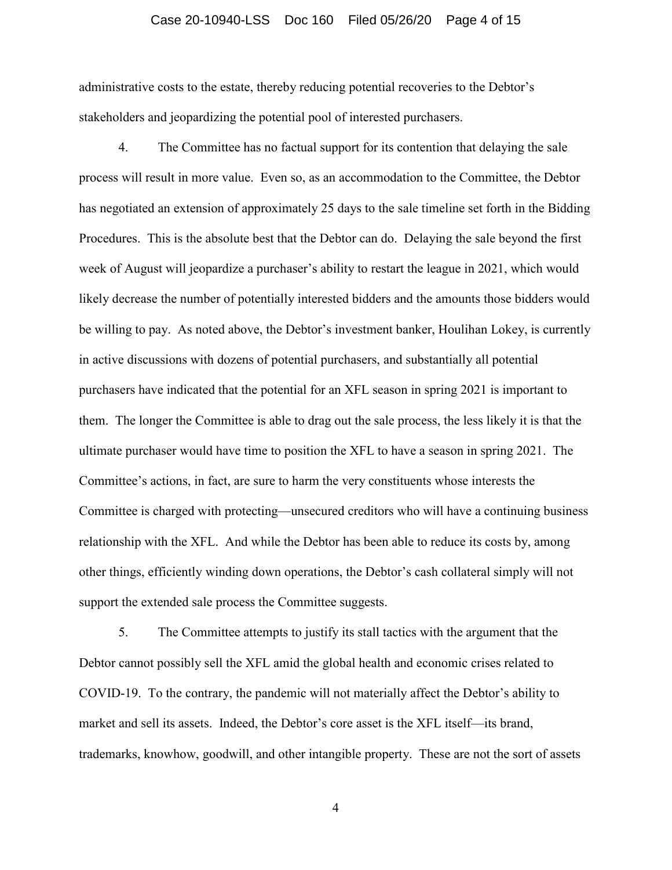## Case 20-10940-LSS Doc 160 Filed 05/26/20 Page 4 of 15

administrative costs to the estate, thereby reducing potential recoveries to the Debtor's stakeholders and jeopardizing the potential pool of interested purchasers.

4. The Committee has no factual support for its contention that delaying the sale process will result in more value. Even so, as an accommodation to the Committee, the Debtor has negotiated an extension of approximately 25 days to the sale timeline set forth in the Bidding Procedures. This is the absolute best that the Debtor can do. Delaying the sale beyond the first week of August will jeopardize a purchaser's ability to restart the league in 2021, which would likely decrease the number of potentially interested bidders and the amounts those bidders would be willing to pay. As noted above, the Debtor's investment banker, Houlihan Lokey, is currently in active discussions with dozens of potential purchasers, and substantially all potential purchasers have indicated that the potential for an XFL season in spring 2021 is important to them. The longer the Committee is able to drag out the sale process, the less likely it is that the ultimate purchaser would have time to position the XFL to have a season in spring 2021. The Committee's actions, in fact, are sure to harm the very constituents whose interests the Committee is charged with protecting—unsecured creditors who will have a continuing business relationship with the XFL. And while the Debtor has been able to reduce its costs by, among other things, efficiently winding down operations, the Debtor's cash collateral simply will not support the extended sale process the Committee suggests.

5. The Committee attempts to justify its stall tactics with the argument that the Debtor cannot possibly sell the XFL amid the global health and economic crises related to COVID-19. To the contrary, the pandemic will not materially affect the Debtor's ability to market and sell its assets. Indeed, the Debtor's core asset is the XFL itself—its brand, trademarks, knowhow, goodwill, and other intangible property. These are not the sort of assets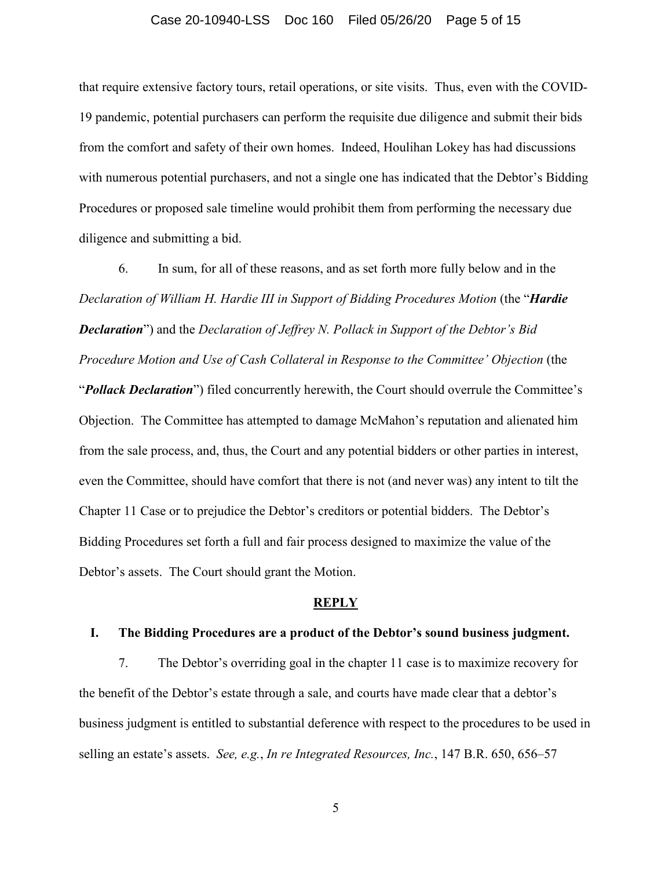## Case 20-10940-LSS Doc 160 Filed 05/26/20 Page 5 of 15

that require extensive factory tours, retail operations, or site visits. Thus, even with the COVID-19 pandemic, potential purchasers can perform the requisite due diligence and submit their bids from the comfort and safety of their own homes. Indeed, Houlihan Lokey has had discussions with numerous potential purchasers, and not a single one has indicated that the Debtor's Bidding Procedures or proposed sale timeline would prohibit them from performing the necessary due diligence and submitting a bid.

6. In sum, for all of these reasons, and as set forth more fully below and in the *Declaration of William H. Hardie III in Support of Bidding Procedures Motion* (the "*Hardie Declaration*") and the *Declaration of Jeffrey N. Pollack in Support of the Debtor's Bid Procedure Motion and Use of Cash Collateral in Response to the Committee' Objection* (the "*Pollack Declaration*") filed concurrently herewith, the Court should overrule the Committee's Objection. The Committee has attempted to damage McMahon's reputation and alienated him from the sale process, and, thus, the Court and any potential bidders or other parties in interest, even the Committee, should have comfort that there is not (and never was) any intent to tilt the Chapter 11 Case or to prejudice the Debtor's creditors or potential bidders. The Debtor's Bidding Procedures set forth a full and fair process designed to maximize the value of the Debtor's assets. The Court should grant the Motion.

#### **REPLY**

#### **I. The Bidding Procedures are a product of the Debtor's sound business judgment.**

7. The Debtor's overriding goal in the chapter 11 case is to maximize recovery for the benefit of the Debtor's estate through a sale, and courts have made clear that a debtor's business judgment is entitled to substantial deference with respect to the procedures to be used in selling an estate's assets. *See, e.g.*, *In re Integrated Resources, Inc.*, 147 B.R. 650, 656–57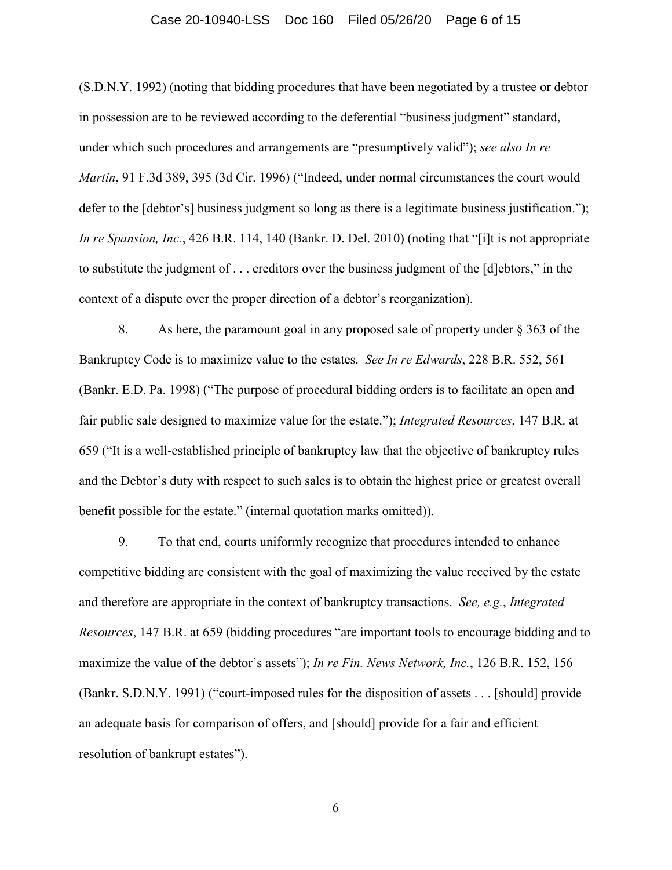## Case 20-10940-LSS Doc 160 Filed 05/26/20 Page 6 of 15

(S.D.N.Y. 1992) (noting that bidding procedures that have been negotiated by a trustee or debtor in possession are to be reviewed according to the deferential "business judgment" standard, under which such procedures and arrangements are "presumptively valid"); *see also In re Martin*, 91 F.3d 389, 395 (3d Cir. 1996) ("Indeed, under normal circumstances the court would defer to the [debtor's] business judgment so long as there is a legitimate business justification."); *In re Spansion, Inc.*, 426 B.R. 114, 140 (Bankr. D. Del. 2010) (noting that "[i]t is not appropriate to substitute the judgment of . . . creditors over the business judgment of the [d]ebtors," in the context of a dispute over the proper direction of a debtor's reorganization).

8. As here, the paramount goal in any proposed sale of property under § 363 of the Bankruptcy Code is to maximize value to the estates. *See In re Edwards*, 228 B.R. 552, 561 (Bankr. E.D. Pa. 1998) ("The purpose of procedural bidding orders is to facilitate an open and fair public sale designed to maximize value for the estate."); *Integrated Resources*, 147 B.R. at 659 ("It is a well-established principle of bankruptcy law that the objective of bankruptcy rules and the Debtor's duty with respect to such sales is to obtain the highest price or greatest overall benefit possible for the estate." (internal quotation marks omitted)).

9. To that end, courts uniformly recognize that procedures intended to enhance competitive bidding are consistent with the goal of maximizing the value received by the estate and therefore are appropriate in the context of bankruptcy transactions. *See, e.g.*, *Integrated Resources*, 147 B.R. at 659 (bidding procedures "are important tools to encourage bidding and to maximize the value of the debtor's assets"); *In re Fin. News Network, Inc.*, 126 B.R. 152, 156 (Bankr. S.D.N.Y. 1991) ("court-imposed rules for the disposition of assets . . . [should] provide an adequate basis for comparison of offers, and [should] provide for a fair and efficient resolution of bankrupt estates").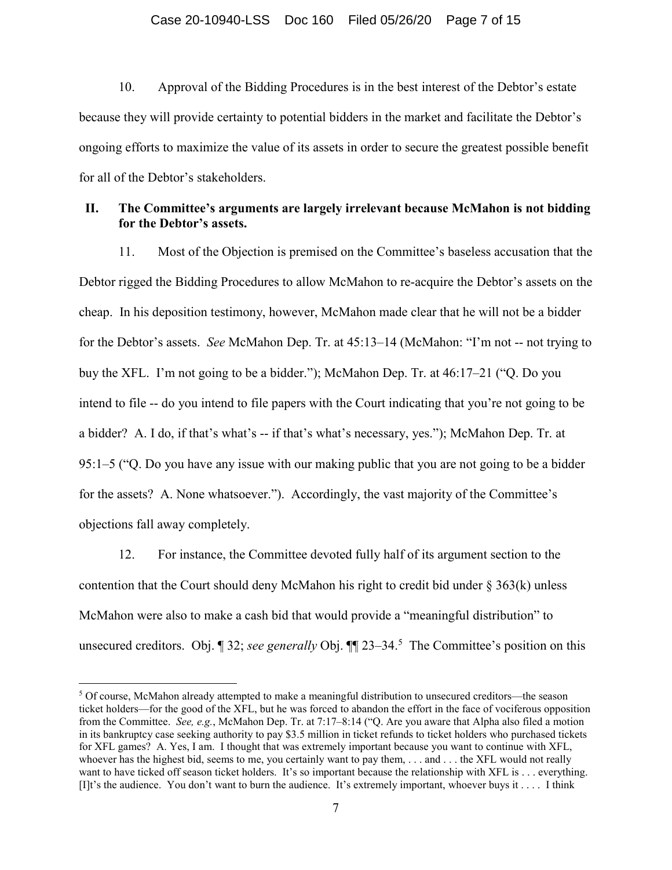## Case 20-10940-LSS Doc 160 Filed 05/26/20 Page 7 of 15

10. Approval of the Bidding Procedures is in the best interest of the Debtor's estate because they will provide certainty to potential bidders in the market and facilitate the Debtor's ongoing efforts to maximize the value of its assets in order to secure the greatest possible benefit for all of the Debtor's stakeholders.

# **II. The Committee's arguments are largely irrelevant because McMahon is not bidding for the Debtor's assets.**

11. Most of the Objection is premised on the Committee's baseless accusation that the Debtor rigged the Bidding Procedures to allow McMahon to re-acquire the Debtor's assets on the cheap. In his deposition testimony, however, McMahon made clear that he will not be a bidder for the Debtor's assets. *See* McMahon Dep. Tr. at 45:13–14 (McMahon: "I'm not -- not trying to buy the XFL. I'm not going to be a bidder."); McMahon Dep. Tr. at 46:17–21 ("Q. Do you intend to file -- do you intend to file papers with the Court indicating that you're not going to be a bidder? A. I do, if that's what's -- if that's what's necessary, yes."); McMahon Dep. Tr. at 95:1–5 ("Q. Do you have any issue with our making public that you are not going to be a bidder for the assets? A. None whatsoever."). Accordingly, the vast majority of the Committee's objections fall away completely.

12. For instance, the Committee devoted fully half of its argument section to the contention that the Court should deny McMahon his right to credit bid under  $\S 363(k)$  unless McMahon were also to make a cash bid that would provide a "meaningful distribution" to unsecured creditors. Obj. ¶ 32; *see generally* Obj. ¶ [23–34.<sup>5</sup> The Committee's position on this

<u>.</u>

<sup>&</sup>lt;sup>5</sup> Of course, McMahon already attempted to make a meaningful distribution to unsecured creditors—the season ticket holders—for the good of the XFL, but he was forced to abandon the effort in the face of vociferous opposition from the Committee. *See, e.g.*, McMahon Dep. Tr. at 7:17–8:14 ("Q. Are you aware that Alpha also filed a motion in its bankruptcy case seeking authority to pay \$3.5 million in ticket refunds to ticket holders who purchased tickets for XFL games? A. Yes, I am. I thought that was extremely important because you want to continue with XFL, whoever has the highest bid, seems to me, you certainly want to pay them, ... and ... the XFL would not really want to have ticked off season ticket holders. It's so important because the relationship with XFL is . . . everything. [I]t's the audience. You don't want to burn the audience. It's extremely important, whoever buys it . . . . I think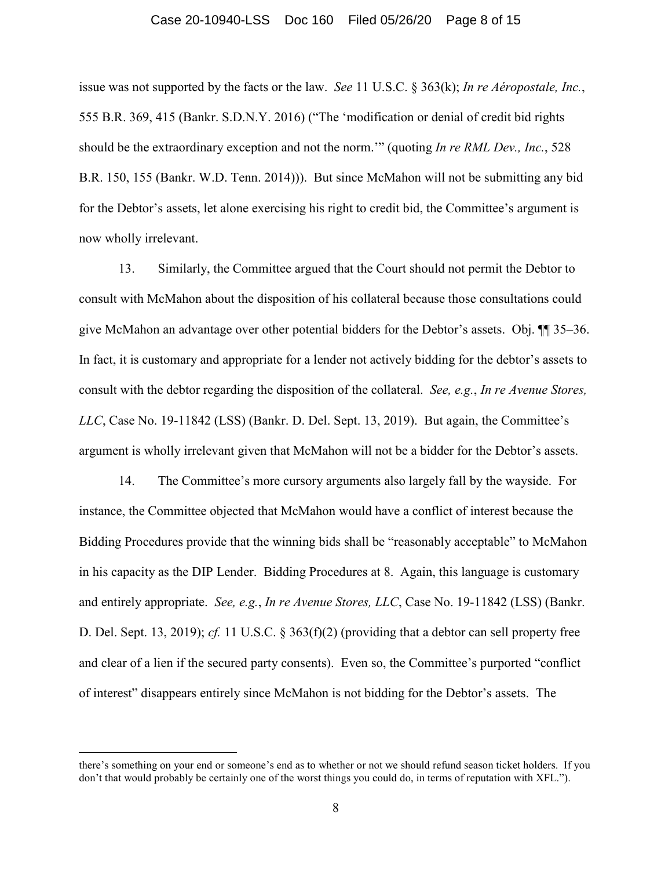## Case 20-10940-LSS Doc 160 Filed 05/26/20 Page 8 of 15

issue was not supported by the facts or the law. *See* 11 U.S.C. § 363(k); *In re Aéropostale, Inc.*, 555 B.R. 369, 415 (Bankr. S.D.N.Y. 2016) ("The 'modification or denial of credit bid rights should be the extraordinary exception and not the norm.'" (quoting *In re RML Dev., Inc.*, 528 B.R. 150, 155 (Bankr. W.D. Tenn. 2014))). But since McMahon will not be submitting any bid for the Debtor's assets, let alone exercising his right to credit bid, the Committee's argument is now wholly irrelevant.

13. Similarly, the Committee argued that the Court should not permit the Debtor to consult with McMahon about the disposition of his collateral because those consultations could give McMahon an advantage over other potential bidders for the Debtor's assets. Obj. ¶¶ 35–36. In fact, it is customary and appropriate for a lender not actively bidding for the debtor's assets to consult with the debtor regarding the disposition of the collateral. *See, e.g.*, *In re Avenue Stores, LLC*, Case No. 19-11842 (LSS) (Bankr. D. Del. Sept. 13, 2019). But again, the Committee's argument is wholly irrelevant given that McMahon will not be a bidder for the Debtor's assets.

14. The Committee's more cursory arguments also largely fall by the wayside. For instance, the Committee objected that McMahon would have a conflict of interest because the Bidding Procedures provide that the winning bids shall be "reasonably acceptable" to McMahon in his capacity as the DIP Lender. Bidding Procedures at 8. Again, this language is customary and entirely appropriate. *See, e.g.*, *In re Avenue Stores, LLC*, Case No. 19-11842 (LSS) (Bankr. D. Del. Sept. 13, 2019); *cf.* 11 U.S.C. § 363(f)(2) (providing that a debtor can sell property free and clear of a lien if the secured party consents). Even so, the Committee's purported "conflict of interest" disappears entirely since McMahon is not bidding for the Debtor's assets. The

 $\overline{a}$ 

there's something on your end or someone's end as to whether or not we should refund season ticket holders. If you don't that would probably be certainly one of the worst things you could do, in terms of reputation with XFL.").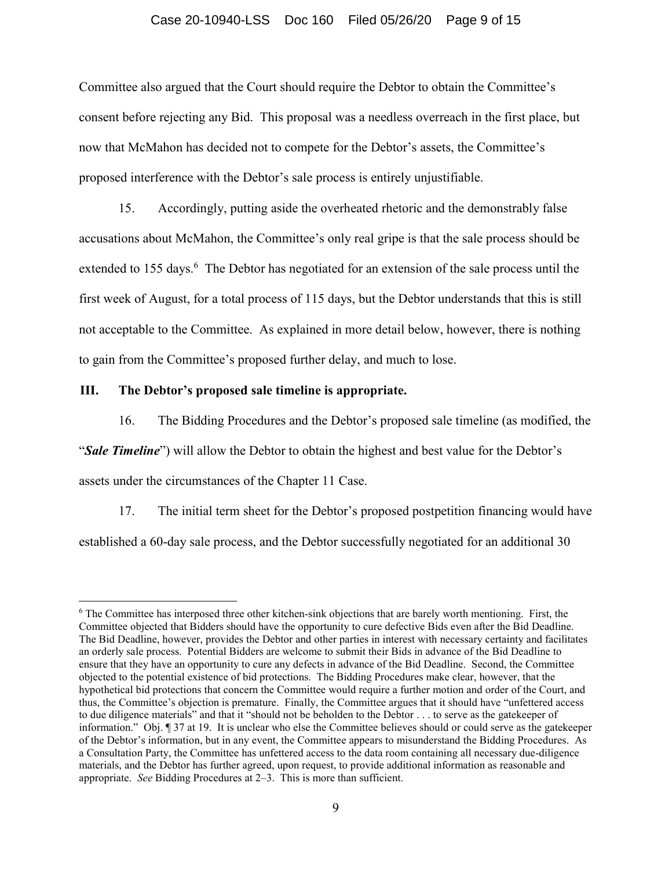### Case 20-10940-LSS Doc 160 Filed 05/26/20 Page 9 of 15

Committee also argued that the Court should require the Debtor to obtain the Committee's consent before rejecting any Bid. This proposal was a needless overreach in the first place, but now that McMahon has decided not to compete for the Debtor's assets, the Committee's proposed interference with the Debtor's sale process is entirely unjustifiable.

15. Accordingly, putting aside the overheated rhetoric and the demonstrably false accusations about McMahon, the Committee's only real gripe is that the sale process should be extended to 155 days.<sup>6</sup> The Debtor has negotiated for an extension of the sale process until the first week of August, for a total process of 115 days, but the Debtor understands that this is still not acceptable to the Committee. As explained in more detail below, however, there is nothing to gain from the Committee's proposed further delay, and much to lose.

#### **III. The Debtor's proposed sale timeline is appropriate.**

<u>.</u>

16. The Bidding Procedures and the Debtor's proposed sale timeline (as modified, the "*Sale Timeline*") will allow the Debtor to obtain the highest and best value for the Debtor's assets under the circumstances of the Chapter 11 Case.

17. The initial term sheet for the Debtor's proposed postpetition financing would have established a 60-day sale process, and the Debtor successfully negotiated for an additional 30

<sup>&</sup>lt;sup>6</sup> The Committee has interposed three other kitchen-sink objections that are barely worth mentioning. First, the Committee objected that Bidders should have the opportunity to cure defective Bids even after the Bid Deadline. The Bid Deadline, however, provides the Debtor and other parties in interest with necessary certainty and facilitates an orderly sale process. Potential Bidders are welcome to submit their Bids in advance of the Bid Deadline to ensure that they have an opportunity to cure any defects in advance of the Bid Deadline. Second, the Committee objected to the potential existence of bid protections. The Bidding Procedures make clear, however, that the hypothetical bid protections that concern the Committee would require a further motion and order of the Court, and thus, the Committee's objection is premature. Finally, the Committee argues that it should have "unfettered access to due diligence materials" and that it "should not be beholden to the Debtor . . . to serve as the gatekeeper of information." Obj. ¶ 37 at 19. It is unclear who else the Committee believes should or could serve as the gatekeeper of the Debtor's information, but in any event, the Committee appears to misunderstand the Bidding Procedures. As a Consultation Party, the Committee has unfettered access to the data room containing all necessary due-diligence materials, and the Debtor has further agreed, upon request, to provide additional information as reasonable and appropriate. *See* Bidding Procedures at 2–3. This is more than sufficient.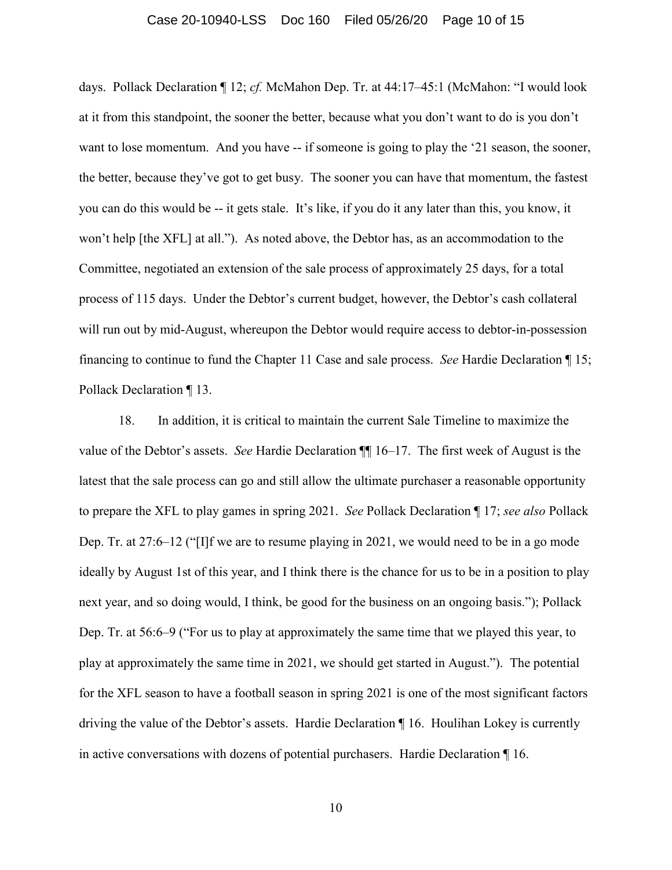## Case 20-10940-LSS Doc 160 Filed 05/26/20 Page 10 of 15

days. Pollack Declaration ¶ 12; *cf.* McMahon Dep. Tr. at 44:17–45:1 (McMahon: "I would look at it from this standpoint, the sooner the better, because what you don't want to do is you don't want to lose momentum. And you have -- if someone is going to play the '21 season, the sooner, the better, because they've got to get busy. The sooner you can have that momentum, the fastest you can do this would be -- it gets stale. It's like, if you do it any later than this, you know, it won't help [the XFL] at all."). As noted above, the Debtor has, as an accommodation to the Committee, negotiated an extension of the sale process of approximately 25 days, for a total process of 115 days. Under the Debtor's current budget, however, the Debtor's cash collateral will run out by mid-August, whereupon the Debtor would require access to debtor-in-possession financing to continue to fund the Chapter 11 Case and sale process. *See* Hardie Declaration ¶ 15; Pollack Declaration ¶ 13.

18. In addition, it is critical to maintain the current Sale Timeline to maximize the value of the Debtor's assets. *See* Hardie Declaration ¶¶ 16–17. The first week of August is the latest that the sale process can go and still allow the ultimate purchaser a reasonable opportunity to prepare the XFL to play games in spring 2021. *See* Pollack Declaration ¶ 17; *see also* Pollack Dep. Tr. at 27:6–12 ("[I]f we are to resume playing in 2021, we would need to be in a go mode ideally by August 1st of this year, and I think there is the chance for us to be in a position to play next year, and so doing would, I think, be good for the business on an ongoing basis."); Pollack Dep. Tr. at 56:6–9 ("For us to play at approximately the same time that we played this year, to play at approximately the same time in 2021, we should get started in August."). The potential for the XFL season to have a football season in spring 2021 is one of the most significant factors driving the value of the Debtor's assets. Hardie Declaration ¶ 16. Houlihan Lokey is currently in active conversations with dozens of potential purchasers. Hardie Declaration ¶ 16.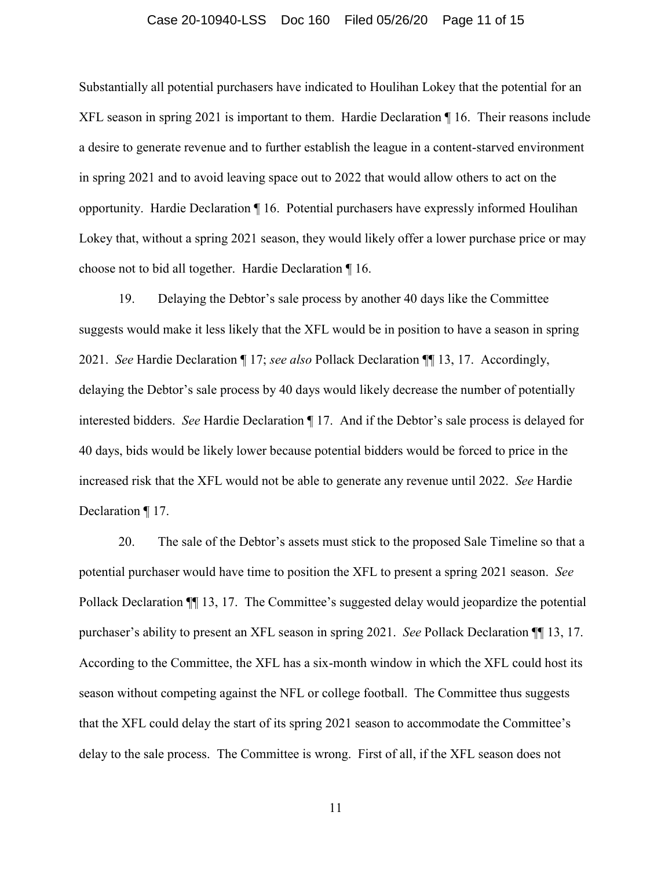#### Case 20-10940-LSS Doc 160 Filed 05/26/20 Page 11 of 15

Substantially all potential purchasers have indicated to Houlihan Lokey that the potential for an XFL season in spring 2021 is important to them. Hardie Declaration ¶ 16. Their reasons include a desire to generate revenue and to further establish the league in a content-starved environment in spring 2021 and to avoid leaving space out to 2022 that would allow others to act on the opportunity. Hardie Declaration ¶ 16. Potential purchasers have expressly informed Houlihan Lokey that, without a spring 2021 season, they would likely offer a lower purchase price or may choose not to bid all together. Hardie Declaration ¶ 16.

19. Delaying the Debtor's sale process by another 40 days like the Committee suggests would make it less likely that the XFL would be in position to have a season in spring 2021. *See* Hardie Declaration ¶ 17; *see also* Pollack Declaration ¶¶ 13, 17. Accordingly, delaying the Debtor's sale process by 40 days would likely decrease the number of potentially interested bidders. *See* Hardie Declaration ¶ 17. And if the Debtor's sale process is delayed for 40 days, bids would be likely lower because potential bidders would be forced to price in the increased risk that the XFL would not be able to generate any revenue until 2022. *See* Hardie Declaration ¶ 17.

20. The sale of the Debtor's assets must stick to the proposed Sale Timeline so that a potential purchaser would have time to position the XFL to present a spring 2021 season. *See* Pollack Declaration ¶¶ 13, 17. The Committee's suggested delay would jeopardize the potential purchaser's ability to present an XFL season in spring 2021. *See* Pollack Declaration ¶¶ 13, 17. According to the Committee, the XFL has a six-month window in which the XFL could host its season without competing against the NFL or college football. The Committee thus suggests that the XFL could delay the start of its spring 2021 season to accommodate the Committee's delay to the sale process. The Committee is wrong. First of all, if the XFL season does not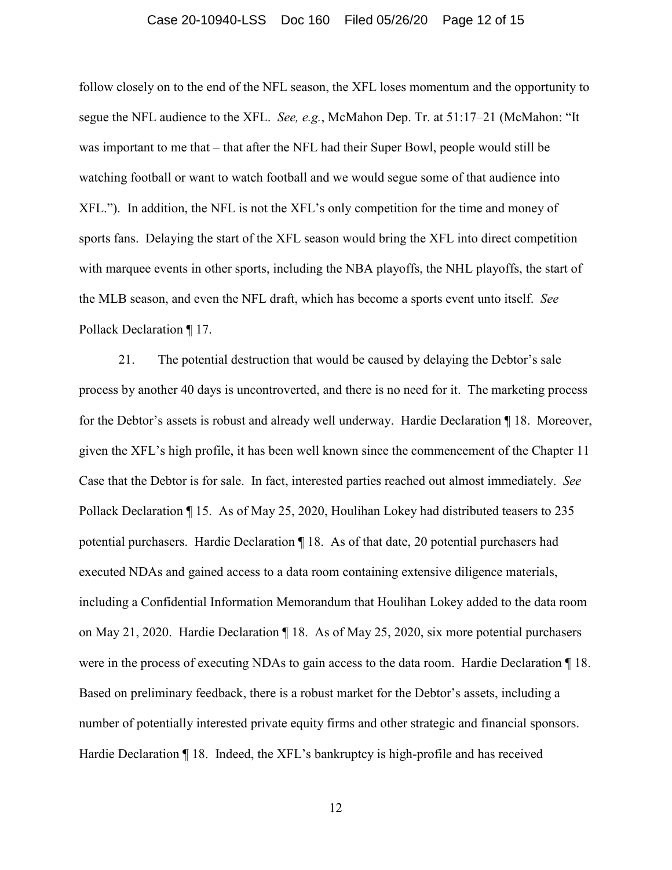#### Case 20-10940-LSS Doc 160 Filed 05/26/20 Page 12 of 15

follow closely on to the end of the NFL season, the XFL loses momentum and the opportunity to segue the NFL audience to the XFL. *See, e.g.*, McMahon Dep. Tr. at 51:17–21 (McMahon: "It was important to me that – that after the NFL had their Super Bowl, people would still be watching football or want to watch football and we would segue some of that audience into XFL."). In addition, the NFL is not the XFL's only competition for the time and money of sports fans. Delaying the start of the XFL season would bring the XFL into direct competition with marquee events in other sports, including the NBA playoffs, the NHL playoffs, the start of the MLB season, and even the NFL draft, which has become a sports event unto itself. *See* Pollack Declaration ¶ 17.

21. The potential destruction that would be caused by delaying the Debtor's sale process by another 40 days is uncontroverted, and there is no need for it. The marketing process for the Debtor's assets is robust and already well underway. Hardie Declaration ¶ 18. Moreover, given the XFL's high profile, it has been well known since the commencement of the Chapter 11 Case that the Debtor is for sale. In fact, interested parties reached out almost immediately. *See* Pollack Declaration ¶ 15. As of May 25, 2020, Houlihan Lokey had distributed teasers to 235 potential purchasers. Hardie Declaration ¶ 18. As of that date, 20 potential purchasers had executed NDAs and gained access to a data room containing extensive diligence materials, including a Confidential Information Memorandum that Houlihan Lokey added to the data room on May 21, 2020. Hardie Declaration ¶ 18. As of May 25, 2020, six more potential purchasers were in the process of executing NDAs to gain access to the data room. Hardie Declaration ¶ 18. Based on preliminary feedback, there is a robust market for the Debtor's assets, including a number of potentially interested private equity firms and other strategic and financial sponsors. Hardie Declaration ¶ 18. Indeed, the XFL's bankruptcy is high-profile and has received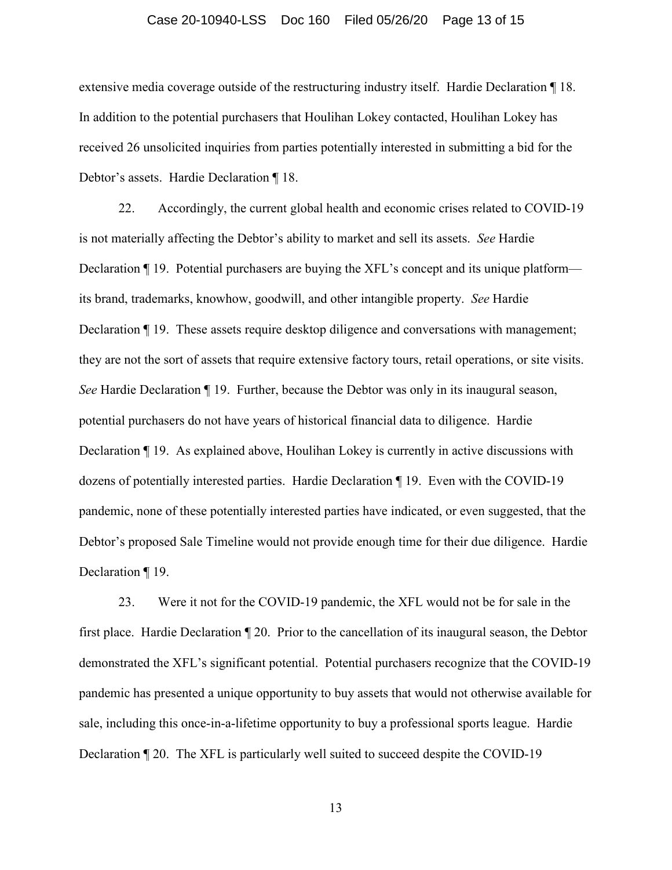#### Case 20-10940-LSS Doc 160 Filed 05/26/20 Page 13 of 15

extensive media coverage outside of the restructuring industry itself. Hardie Declaration ¶ 18. In addition to the potential purchasers that Houlihan Lokey contacted, Houlihan Lokey has received 26 unsolicited inquiries from parties potentially interested in submitting a bid for the Debtor's assets. Hardie Declaration ¶ 18.

22. Accordingly, the current global health and economic crises related to COVID-19 is not materially affecting the Debtor's ability to market and sell its assets. *See* Hardie Declaration ¶ 19. Potential purchasers are buying the XFL's concept and its unique platform its brand, trademarks, knowhow, goodwill, and other intangible property. *See* Hardie Declaration ¶ 19. These assets require desktop diligence and conversations with management; they are not the sort of assets that require extensive factory tours, retail operations, or site visits. *See* Hardie Declaration ¶ 19. Further, because the Debtor was only in its inaugural season, potential purchasers do not have years of historical financial data to diligence. Hardie Declaration ¶ 19. As explained above, Houlihan Lokey is currently in active discussions with dozens of potentially interested parties. Hardie Declaration ¶ 19. Even with the COVID-19 pandemic, none of these potentially interested parties have indicated, or even suggested, that the Debtor's proposed Sale Timeline would not provide enough time for their due diligence. Hardie Declaration ¶ 19.

23. Were it not for the COVID-19 pandemic, the XFL would not be for sale in the first place. Hardie Declaration ¶ 20. Prior to the cancellation of its inaugural season, the Debtor demonstrated the XFL's significant potential. Potential purchasers recognize that the COVID-19 pandemic has presented a unique opportunity to buy assets that would not otherwise available for sale, including this once-in-a-lifetime opportunity to buy a professional sports league. Hardie Declaration ¶ 20. The XFL is particularly well suited to succeed despite the COVID-19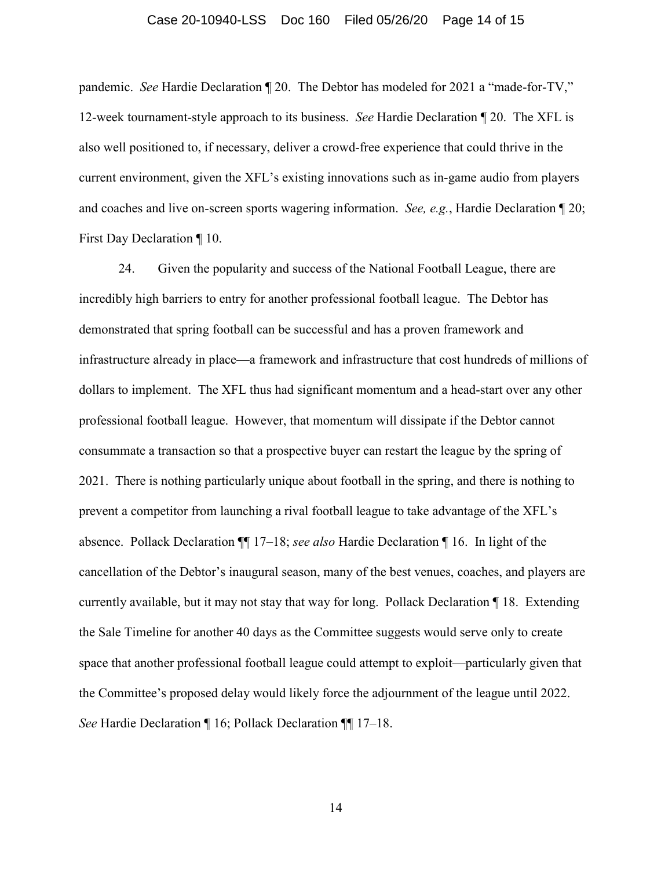### Case 20-10940-LSS Doc 160 Filed 05/26/20 Page 14 of 15

pandemic. *See* Hardie Declaration ¶ 20. The Debtor has modeled for 2021 a "made-for-TV," 12-week tournament-style approach to its business. *See* Hardie Declaration ¶ 20. The XFL is also well positioned to, if necessary, deliver a crowd-free experience that could thrive in the current environment, given the XFL's existing innovations such as in-game audio from players and coaches and live on-screen sports wagering information. *See, e.g.*, Hardie Declaration ¶ 20; First Day Declaration ¶ 10.

24. Given the popularity and success of the National Football League, there are incredibly high barriers to entry for another professional football league. The Debtor has demonstrated that spring football can be successful and has a proven framework and infrastructure already in place—a framework and infrastructure that cost hundreds of millions of dollars to implement. The XFL thus had significant momentum and a head-start over any other professional football league. However, that momentum will dissipate if the Debtor cannot consummate a transaction so that a prospective buyer can restart the league by the spring of 2021. There is nothing particularly unique about football in the spring, and there is nothing to prevent a competitor from launching a rival football league to take advantage of the XFL's absence. Pollack Declaration ¶¶ 17–18; *see also* Hardie Declaration ¶ 16. In light of the cancellation of the Debtor's inaugural season, many of the best venues, coaches, and players are currently available, but it may not stay that way for long. Pollack Declaration ¶ 18. Extending the Sale Timeline for another 40 days as the Committee suggests would serve only to create space that another professional football league could attempt to exploit—particularly given that the Committee's proposed delay would likely force the adjournment of the league until 2022. *See* Hardie Declaration ¶ 16; Pollack Declaration ¶¶ 17–18.